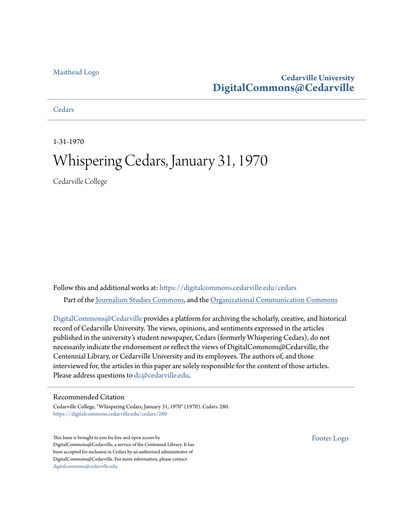#### [Masthead Logo](http://www.cedarville.edu/?utm_source=digitalcommons.cedarville.edu%2Fcedars%2F280&utm_medium=PDF&utm_campaign=PDFCoverPages)

#### **Cedarville University [DigitalCommons@Cedarville](https://digitalcommons.cedarville.edu?utm_source=digitalcommons.cedarville.edu%2Fcedars%2F280&utm_medium=PDF&utm_campaign=PDFCoverPages)**

**[Cedars](https://digitalcommons.cedarville.edu/cedars?utm_source=digitalcommons.cedarville.edu%2Fcedars%2F280&utm_medium=PDF&utm_campaign=PDFCoverPages)** 

1-31-1970

### Whispering Cedars, January 31, 1970

Cedarville College

Follow this and additional works at: [https://digitalcommons.cedarville.edu/cedars](https://digitalcommons.cedarville.edu/cedars?utm_source=digitalcommons.cedarville.edu%2Fcedars%2F280&utm_medium=PDF&utm_campaign=PDFCoverPages) Part of the [Journalism Studies Commons](http://network.bepress.com/hgg/discipline/333?utm_source=digitalcommons.cedarville.edu%2Fcedars%2F280&utm_medium=PDF&utm_campaign=PDFCoverPages), and the [Organizational Communication Commons](http://network.bepress.com/hgg/discipline/335?utm_source=digitalcommons.cedarville.edu%2Fcedars%2F280&utm_medium=PDF&utm_campaign=PDFCoverPages)

[DigitalCommons@Cedarville](http://digitalcommons.cedarville.edu/) provides a platform for archiving the scholarly, creative, and historical record of Cedarville University. The views, opinions, and sentiments expressed in the articles published in the university's student newspaper, Cedars (formerly Whispering Cedars), do not necessarily indicate the endorsement or reflect the views of DigitalCommons@Cedarville, the Centennial Library, or Cedarville University and its employees. The authors of, and those interviewed for, the articles in this paper are solely responsible for the content of those articles. Please address questions to [dc@cedarville.edu.](mailto:dc@cedarville.edu)

#### Recommended Citation

Cedarville College, "Whispering Cedars, January 31, 1970" (1970). *Cedars*. 280. [https://digitalcommons.cedarville.edu/cedars/280](https://digitalcommons.cedarville.edu/cedars/280?utm_source=digitalcommons.cedarville.edu%2Fcedars%2F280&utm_medium=PDF&utm_campaign=PDFCoverPages)

This Issue is brought to you for free and open access by DigitalCommons@Cedarville, a service of the Centennial Library. It has been accepted for inclusion in Cedars by an authorized administrator of DigitalCommons@Cedarville. For more information, please contact [digitalcommons@cedarville.edu](mailto:digitalcommons@cedarville.edu).

[Footer Logo](http://www.cedarville.edu/Academics/Library.aspx?utm_source=digitalcommons.cedarville.edu%2Fcedars%2F280&utm_medium=PDF&utm_campaign=PDFCoverPages)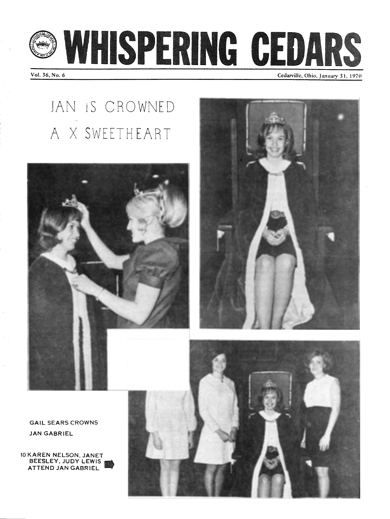



Vol. 36, No. 6

Cedarville, Ohio, January 31, 1970

# JAN 1S CROWNED A X SWEETHEART





GAIL SEARS CROWNS JAN GABRIEL

10 KAREN NELSON. JANET BEESLEY, JUDY LEWIS **ATTEND JAN GABRIEL** 

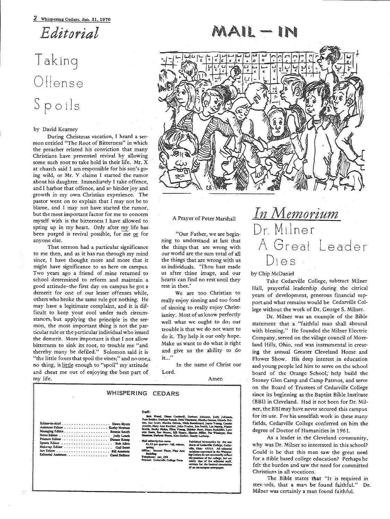*Editorial* 

## Taking Offense Spoils

#### by David Kearney

During Christmas vacation, I heard a sermon entitled "The Root of Bitterness" in which the preacher related his conviction that many Christians have prevented revival by allowing some such root to take hold in their life. Mr. X at church said I am responsible for his son's going wild, or Mr. Y claims I started the rumor about his daughter. Immediately I take offence, and I harbor that offence, and so hinder joy and growth in my own Christian experience. The pastor went on to explain that I may not be to blame, and I may not have started the rumor, but the most important factor for me to concern myself with is the bitterness I have allowed to spring up in my heart. Only after my life has been purged is revival possible, for me or for anyone else.

That sermon had a particular significance to me then, and as it has run through my mind since, I have thought more and more that it might have significance to us here on campus. Two years ago a friend of mine returned to school determined to reform and maintain a good attitude-the first day on campus he got a demerit for one of our lesser offenses while, others who broke the same rule got nothing. He may have a legitimate complaint, and it is difficult to keep your cool under such circumstances, but applying the principle in the sermon, the most important thing is not the particular rule or the particular individual who issued the demerit. More important is that I not allow bitterness to sink its root, to trouble me "and thereby many be defiled." Solomon said it is "the little foxes that spoil the vines;" and no one, no thing, is little enough to "spoil" my attitude and cheat me out of enjoying the best part of my life.



#### A Prayer of Peter Marshall

"Our Father, we are beginning to understand at last that the things that are wrong with our world are the sum total of all the things that are wrong with us as individuals. 'Thou hast made us after thine image, and our hearts can find no rest until they rest in thee.'

We are too Christian to really enjoy sinning and too fond of sinning to really enjoy Christianity. Most of us know perfectly well what we ought to do; our trouble is that we do not want to do it. Thy help is our only hope. Make us want to do what is right and give us the ability to do it .. .''

In the name of Christ our Lord.

Amen

|                                                                                                    | WHISPERING CEDARS                                                                                                                                                                                                                                                                                                                                                                                                                                                                                                                                                                                                                                                                                                                                                                                                                                 |
|----------------------------------------------------------------------------------------------------|---------------------------------------------------------------------------------------------------------------------------------------------------------------------------------------------------------------------------------------------------------------------------------------------------------------------------------------------------------------------------------------------------------------------------------------------------------------------------------------------------------------------------------------------------------------------------------------------------------------------------------------------------------------------------------------------------------------------------------------------------------------------------------------------------------------------------------------------------|
| Assistant Editor Kathy Newton<br>Managing Editor Bonnie Smith<br>Editorial Assistant. Carol DeBoer | $S = M$ :<br>Bob Wood, Disne Cockeral, Barbara Johnson, Judy Johnson,<br>Tom Scidler, Derlene Rouch, Debi Thornton, Marsha Ozman, Glenda Dol-<br>ton, Sue Scott, Marsha Osman, Hilda Boothroyd, Joyce Young, Connie<br>Averitt, Mary Ann Butcher, John Pruden, Jon Smith, Lin Mason, Neacy<br>Senith, Becky Mohn, Elien Young, Shirley Mort, Dinna Radcliffe, Lyn-<br>ctre Davis, See Moore, Bill Henry, Sharon Miller, Pat Winninger, Dan<br>Mensons, Darlyne Wuent, Kim Gerber, Sandy Lathrop.<br>Mail subscription rates:<br>Published bi-monthly by the stu-<br>\$1.25 per quarter - fall, winter,<br>dents of Conservate College, Coder-<br>spring.<br>ville, Ohio 45314. All edinorial<br>Office: Second Ploce, Plase Ares<br>opinions expressed in the Whisper-<br>Building<br>ing Codors do not necessarily reflect<br>Telephone, and 300 |

**bk::,acdzdy by 1lbe ..**  dents of Cedarvike College, Codor **rik:. mtio 453114. Alli~**  colaires currented in the Whimes. ing Codors do not necessarily reflect • **pcmitioa al Ck bat an: ddy dim-** *di* **Qc** *r:t:3fl,*  **writam** for the limited classical

o1-an-o<del>n-campus newspaper</del>,

### *InMemorium*  Dr. Milner A Great Leader Dies

#### by Chip McDaniel

Take Cedarville College, subtract Milner Hall, prayerful leadership during the citrical years of development, generous financial support and what remains would be Cedarville College without the work of Dr. George S. Milner.

Dr. Milner was an example of the Bible statement that a "faithful man shall abound with blessing." He founded the Milner Electric Company, served on the village council of Moreland Hills, Ohio, and was instrumental in creating the annual Greater Cleveland Home and Flower Show. His deep interest in education and young people led him to serve on the school board of the Orange School; help build the Stoney Glen Camp and Camp Patmos, and serve on the Board of Trustees of Cedarville College since its beginning as the Baptist Bible Institute (BBI) in Cleveland. Had it not been for Dr. Milner, the BBlmay have never secured this campus for its use. For his unselfish work in these many fields, Cedarville College conferred on him the degree of Doctor of Humanities in 1961.

As a leader in the Cleveland community, why was Dr. Milner so interested in this school? Could it be that this man saw the great need for a Bible based college education? Perhaps he felt the burden and saw the need for committed Christians in all vocations.

The Bible states that "It is required in stewards, that a man be found faithful." Dr. Milner was certainly a man found faithful.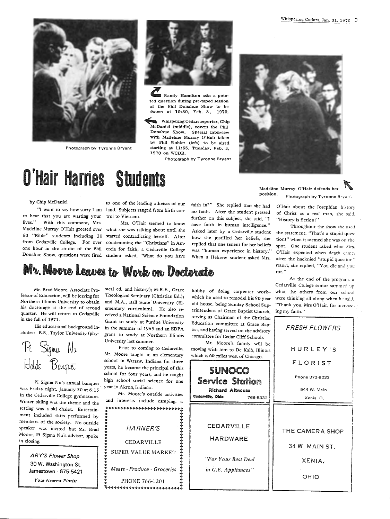

Photograph by Tyronne Bryant



Randy Hamilton asks a pointed question during pre-taped session of the Phil Donahue Show to be shown at 10:30, Feb. 3, 1970.

Whispering Cedars reporter, Chip McDaniel (middle), covers the Phil Donahue Show. Special interview with Madeline Murray O'Hair taken by Phil Rohler (left) to be aired starting at 11:55, Tuesday, Feb. 3, 1970 on WCDR.

Photograph by Tyronne Bryant



Madeline Murray O'Hair defends her ' position. Photograph by Tyronne Bryant

## O'Hair Harries Studen

to hear that you are wasting your trol to Vietnam. lives." With this comment, Mrs.

by Chip McDaniel to one of the leading atheists of our "I want to say how sorry I am land. Subjects ranged from birth can-

Madeline Murray O'Hair greeted over what she was talking about until she <sup>60</sup>"Bible" students including <sup>30</sup> started contradicting herself. After Mrs. 0 'Hair seemed to know from Cedarville College. For over condemming the "Christians" in Arnone hour in the studio of the Phil ercia for faith, a Cedarville College Donahue Show, questions were fired student asked, "What do you have

faith in?" She replied that she had no faith. After the student pressed further on this subject, she said, "I have faith in human intelligence." Asked later by a Cedarville student how she justified her oeliefs, she replied that one tenent for her beliefs was "human experience in history." When a Hebrew student asked Mrs.

### Mr. Moore Leaves to Work on Doctorate

Mr. Brad Moore, Associate Professor of Education, will be leaving for Northern Illinois University to obtain his doctorage at the end of second quarter. He will return to Cedarville in the fall of 1971.

His educational background includes: B.S., Taylor University (phy-

Sigma Nu Holds Banquet

Pi Sigma Nu's annual banquet high school social science for one Sigma Nu's annual banquet year in Akron, Indiana. was Friday night, January 30 at 6:15 in the Cedarville College gymnasium. Winter skiing was the theme and the setting was a ski chalet. Entertainment included skits performed by members of the society. No outside speaker was invited but Mr. Brad Moore, Pi Sigma Nu's advisor, spoke in closing.

ARY'S Flower Shop 30 W. Washington St. Jamestown· 675-5421 *Your Nearest Florist* 

sical ed. and history); M.R.E., Grace Theological Seminary (Christian Ed.); and M.A., Ball State University (El ementary curriculum). He also re ceived a National Science Foundation Grant to study at Purdue University in the summer of 1965 and an EDPA grant to study at Northern Illinois University last summer.

Prior to coming to Cedarville, Mr. Moore taught in an elementary school in Warsaw, Indiana for three years, he became the principal of this school for four years, and he taught<br>high school social science for one

Mr. Moore's outside activities and interests include camping, a

• ·························: • • • • • • • • • ! HARNER~ :  $\begin{array}{lll} & \text{CEDARVILLE} \\ \text{SUPER VALUE MARKET} \end{array}$ Meats - Produce - Groceries<br>PHONE 766-1201 ~ ........................ :

hobby of doing carpenter work- what the others from our school which he used to remodel his 90 year were thinking all along when he said, old house, being Sunday School Sup- "Thank you, Mrs O'Hair, for increaserintendent of Grace Baptist Church, ing my faith." serving as Chairman of the Christian Education committee at Grace Baptist, and having served on the advisory committee for Cedar Cliff Schools.

Mr. Moore's family will be moving with him to De Kalb, Illinois which is 60 miles west of Chicago.



O'Hair about the Josephian hisrorv of Christ as a real man, she said, "History is fiction!"

Throughout the show she used the statement, "That's a stupid qucs· tion!" when it seemed she was 0n rhc spot. One student asked what Mrs. O'Hair expected when death came; after the haeknied "stupid question" retort, she replied, "You die and you rot."

At the end of the program, <sup>a</sup> Cedarville College senior summed up

FRESH FLOWERS

HURLEY'S

l I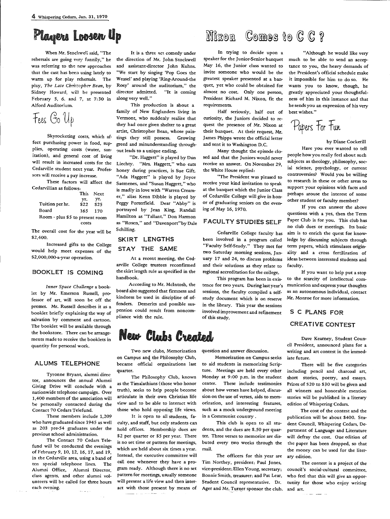### Plagers Loosen Up

When Mr. Stockwell said, "The rehersals are going very funnily," he was referring to the new approaches that the cast has been using lately to warm up for play rehersals. The <sup>p</sup>lay, *The Late Chri::topher Bean,* by Sidney Howard, will be presented February 5, 6. and 7, at 7:30 in Alford Auditorium.

Fees Go Up

Skyrocketing costs, which affect purchasing power in food, supplies, operating costs (water, sanitation), and general cost of living will result in increased costs for the Cedarville student next year. Professors will receive a pay increase.

These factors will affect the Cedarvillian as follows:

|                                 |      | This Next |  |
|---------------------------------|------|-----------|--|
|                                 | yг.  | yr.       |  |
| Tuition per hr.                 | \$22 | \$25      |  |
| Board                           | 165. | 170       |  |
| Room - plus \$5 to present room |      |           |  |
| costs                           |      |           |  |

The overall cost for the year will be \$2,400.

Increased gifts to the College would help meet expenses of the \$2,000,000-a-year operation.

#### BOOKLET IS COMING

*Inner Space Challenge* a booklet by Mr. Emerson Russell, professor of art, will soon be off the presses. Mr. Russell describes it as a booklet briefly explaining the way of salvation by comment and cartoon. The booklet will be available through the bookstore. There can be arrangements made to receive the booklets in quantity for personal work.

#### ALUMS TELEPHONE

Tyronne Bryant, alumni direc· tor, announces the annual Alumni Giving Drive will conclude with <sup>a</sup> nationwide telephone campaign. Over 1,400 members of the association will be personally contacted during the Contact 70 Cedars Telefund.

These members include 1,209 who have graduated since 1945 as well as 203 pre-54 graduates under the previous school administration.

The Contact 70 Cedars Telefund will be conducted the evenings of February 9, 10, 12, 16, 17, and 19, in the Cedarville area, using a band of ten special telephone lines. The Alumni Office, Alumni Director, class agents, and other alumni volunteers will be called for three hours each evening.

It is a three act comedy under the direction of Mr. John Stockwell and assistant-director John Kuhns. "We start by singing 'Pop Goes the Weasel' and playing 'Ring-Around-the Rosy' around the auditorium," the director admitted. "It is coming along very well."

This production is about <sup>a</sup> family of New Englanders living in Vermont, who suddenly realize that they had once given shelter to a great artist, Christopher Bean, whose paintings they still possess. Growing greed and minunderstanding throughout leads to a unique ending.

"Dr. Haggett" is played by Dan Liechty. "Mrs. Haggett," who eats honey during practices, is Sue Gift. "Ada Haggett" is played by Joyce Saemenes, and "Susan Haggett," who is madly in love with "Warren Creamer," alias Kenn Dibble is played by Peggy Porterfield. Dear "Abby" is portrayed by Jean King, Randall Hamilton as "Tallant." Don Harmon as "Rosen," and "Davenport"byDale Schilling.

#### SKIRT LENGTHS STAY THE SAME

At a recent meeting, the Cedarville College trustees reconfirmed the skirt length rule as specified in the handbook.

According to Mr. Mcintosh, the board also suggested that firmness and kindness be used in discipline of offenders. Demerits and possible suspension could result from noncompliance with the rule.

### **New Clubs Created**

Two new clubs, Memorization on Campus and the Philosophy Club, became official organizations last quarter.

The Philosophy Club, known as the Timalathians (those who honor truth), seeks to help people become articulate in their own Christian life view and to be able to interact with those who hold opposing life views.

It is open to all students, faculty, and staff, but only students can hold offices. Membership dues are \$2 per quarter or \$5 per year. There is no set time or pattern for meetings, which are held about six times a year. Instead, the executive committee will call one whenever they have a program ready. Although there is no set pattern for meetings, usually someone will present a life view and then interact with those present by means of

#### Comes to C C ? Nixon

In trying to decide upon <sup>a</sup> speaker for the Junior-Senior banquet May 16, the Junior class wanted to invite someone who would be the greatest speaker presented at a banquet, yet who could be obtained for almost no cost. Only one person, President Richard M. Nixon, fit the requirements.

Half seriously, half out of curiosity, the Juniors decided to request the presence of Mr. Nixon at their banquet. At their request, Mr. James Phipps wrote the official letter and sent it to Washington D.C.

Many thought the episode closed and that the Juniors would never receive an answer. On November 29, the White House replied:

"The President was pleased to receive your kind invitation to speak at the banquet which the Junior Class of Cedarville College will give in honor of graduating seniors on the evening of May 16, 1970.

#### FACULTY STUDIES **SELF**

Cedarville College faculty has been involved in a program called "Faculty Self-Study." They met for two Saturday morning sessions, January 17 and 24, to discuss problems and their solutions as they relate to regional accreditation for the college.

This program has been in existence for two years. Duringlastyear's sessions, the faculty compiled a selfstudy document which is on reserve in the library. This year the sessions involved improvement and refinement of this study.

question and answer discussion.

Memorization on Campus seeks to aid students in memorizing Scripture. Meetings are held every other Monday at 9:00 p.m. in the student center. These include testimonies about how verses have helped, discussion on the use of verses, aids to memorization, and interesting features, such as a mock underground meeting in a Communist country .

This club is open to all students, and the dues are \$.50 per quarter. Three verses to memorize are disbuted every two weeks through the mail.

The officers for this year are Tim Northey, president; Paul Jones, vice-president;Ellen Young, secretary; council's social-cultural committee, Bonnie Smith, treasurer; and Pat Lear, who feel that this will give an oppor-Student Council representative. Dr. tunity for those who enjoy writing Ager and Mr. Turner sponsor the club. and art.

"Although he would like very much to be able to send an acceptance to you, the heavy demands of the President's official schedule make it impossible for him to do so. He wants you to know, though, he greatly appreciated your thoughtfulness of him in this instance and that he sends you an expression of his very best wishes."

Papers For Fun

by Diane Cockerill

Have you ever wanted to tell people how you really feel about such subjects as theology, philosophy, social science, psychology, or current controversies? Would you be willing to research in these or other areas to support your opinions with facts and perhaps arouse the interest of some other student or faculty member?

If you can answer the above questions with a yes, then the Term Paper Club is for you. This club has no club dues or meetings. Its basic aim is to enrich the quest for knowledge by discussing subjects through term papers, which stimulates originality and a cross fertilization of ideas between interested students and faculty

If you want to help put a stop to the scarcity of intellectual communication and express your thoughts as an autonomous individual, contact Mr. Monroe for more information.

SC PLANS FOR CREATIVE CONTEST

Dave Kearney, Student Council President, announced plans for <sup>a</sup> writing and art contest in the immediate future.

There will be five categories including pencil and charcoal art, short stories, poetry, and essays. Prizes of \$20 to \$30 will be given and all winners and honorable mention stories will be published in a literary edition of Whispering Cedars.

The cost of the contest and the publication will be about \$400. Student Council, Whispering Cedars, Department of Language and Literature will defray the cost. One edition of the paper has been dropped, so that the money can be used for the literary edition.

The contest is a project of the

المناسب المنا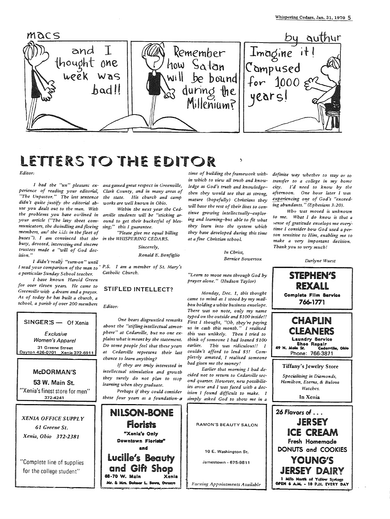

### LETTERS TO THE EDITOR  $F\ddot{d}$ itor

I had the "un" pleasant experience of reading your editorial, "The Unpastor." The last sentence didn't quite justify the editorial abuse you dealt out to the man. With the problems you have outlined in arville students will be "sticking aryour article ("The lazy sheet communicators, the dwindling and fleeing members, and the kids in the fleet of buses"). I am convinced that the busy, devoted, interesting and sincere trustees made a "will of God decision."

I didn't really "turn-on" until I read your comparison of the man to a particular Sunday School teacher.

I have known Harold Green for over eleven years. He came to Greenville with a dream and a prayer. As of today he has built a church, a school, a parish of over 200 members

#### SINGER:S - Of Xenia

Exclusive Women's Apparel 31 Greene Street Dayton 426-0701 Xenia 372-6911

#### McDORMAN'S

53 W. Main St. "Xenia's finest store for men" 372-4241

**XENIA OFFICE SUPPLY** 61 Greene St. Xenia, Ohio 372-2381

"Complete line of supplies for the college student"

ana gained great respect in Greenville, Clark County, and in many areas of the state. His church and camp works are well known in Obio. Within the next year the Ced-

ound to get their bucketful of blessing;" this I guarantee. "Please give me equal billing

in the WHISPERING CEDARS.

Ronald E. Bonfiglio

Sincerely,

P.S. I am a member of St. Mary's Catholic Church.

#### **STIFLED INTELLECT?**

Editor:

One hears disgruntled remarks about the "stifling intellectual atmosphere" at Cedarville, but no one explains what is meant by the statement. Do some people feel that these years at Cedarville represent their last chance to learn anything?

If they are truly interested in intellectual stimulation and growth they surely do not plan to stop learning when they graduate.

Perhaps if they could consider these four years as a foundation-a



time of building the framework within which to view all truth and knowledge as God's truth and knowledge-then they would see that as strong. mature (bopefully) Christians they will have the rest of their lives to continue growing intellectually-exploring and learning-but able to fit what they learn into the system which they have developed during this time at a fine Christian school.

> In Christ. Rernice Bowersox

"Learn to move men through God by prayer alone." (Hudson Taylor)

Monday, Dec. 1, this thought came to mind as I stood by my mailbox holding a white business envelope. There was no note, only my name typed on the outside and \$100 inside!! First I thought, "Oh, they're paying us in cash this month." I realized this was unlikely. Then I tried to think of someone I had loaned \$100 earlier. This was ridiculous!! I couldn't afford to lend \$5! Completely amazed, I realized someone had given me the money!

Earlier that morning I had decided not to return to Cedarville second quarter. However, new possibilities arose and I was faced with a decision I found difficult to make. I simply asked God to show me in a

RAMON'S BEAUTY SALON 10 E. Washington St. Jamestown - 675-9811

Evening Appointments Available

definite way whether to stay or to transfer to a college in my home city. I'd need to know by the afternoon. One hour later I was experiencing one of God's "exceeding abundants." (Ephesians 3:20).

Who was moved is unknown to me. What I do know is that a sense of gratitude envelops me everytime I consider how God used a person sensitive to Him, enabling me to make a very important decision. Thank you so very much!

Darlyne Wuest

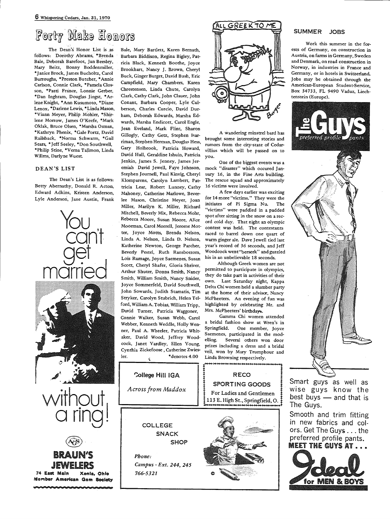### Forty Make Honors

The Dean's Honor List is as follows: Dorothy Abrams, \*Brenda Bale, Deborah Barefoot, Jan Beesley, Mary Beitz, Bonny Boddenmiller, \*Janice Brock, James Bucholtz, Carol Burroughs, \*Preston Butcher, \*Annie Carlson, Connie Clark, \*Pamela Closson, \*Patti France, Lonnie Gerber, \*Dan Inghram, Douglas Jingst, \*Arlene Knight, \*Ann Kusumoto, \*Diane Lenox, \*Darlene Lewis, \*Linda Mason, \*Viann Meyer, Philip Mohler, \*Shirlene Morrow, James O'Keefe, \*Mark Oklak, Bruce Olsen, \*Marsha Osman, \*Kathryn Phenix, \*Gale Portz, David Railsback, \*Norma Schwarm, \*Gail Sears, \*Jeff Seeley, \*Don Southwell, \*Philip Stine, \*Verna Tallmon, Linda Willms, Darlyne Wuest.

#### DEAN'S LIST

The Dean's List is as follows: Betty Abernathy, Donald R. Acton, Edward Adkins, Kristen Anderson, Lyle Anderson, Jane Austin, Frank



Bale, Mary Bartlett, Karen Bernath, Barbara Biddison, Regina Bigley, Patricia Black, Kenneth Boothe, Joyce Brookhart, Nancy J. Brown, Cheryl Buck, Ginger Burget, David Bush, Eric Campfield, Mary Chambers, Karen Chrestensen, Linda Chute, Carolyn Clark, Cathy Clark, John Clauer, John Conant, Barbara Cooper, Lyle Culberson, Charles Curcio, David Durham, Deborah Edwards, Marsha Edwards, Marsha Endicott, Carol Engle, Jean Eveland, Mark Flint, Sharon Gillogly, Cathy Getz, Stephen Harriman, Stephen Herman, Douglas Hess, Gary Holbrook, Patricia Howard, David Hull, Geraldine Ishuin, Patricia Jenkin, James S. Jenney, James Jeremiah David Jewell, Faye Johnson, mock "disaster" which occured Jan-Stephen Journell, Paul Kinvig, Cheryl Klomparens, Carolyn Lambert, Pattricia Lear, Robert Lunney, Cathy Mahoney, Catherine Marlowe, Beverlee Mason, Christine Meyer, Joan Miller, Marilyn K. Miller, Richard Mitchell, Beverly Mix, Rebecca Mohr, Rebecca Moore, Susan Moore, Alice Moorman, Carol Morrell, Jerome Motter, Joyce Motts, Brenda Nelson, Linda A. Nelson, Linda D. Nelson, Katherine Newton, George Parcher, Beverly Pestel, Ruth Ransbottom, Lois Rumage, Joyce Saemenes, Susan Scott, Cheryl Shafer, Gloria Shriver, Arthur Shuter, Donna Smith, Nancy Smith, William Smith, Nancy Snider, Joyce Sommerfeld, David Southwell, John Sowards, Judith Stamatis, Tim Stryker, Carolyn Stubrich, Helen Telford, William A. Tobias, William Tripp, David Turner, Patricia Waggoner, Connie Walker, Susan Webb, Carol Webber, Kenneth Weddle, Holly Wenner, Paul A. Wheeler, Patricia Whitaker, David Wood, Jeffrey Woodcock, Janet Yardley, Ellen Young, Cynthia Zickefoose, Catherine Zwies-\*denotes 4.00 ler.



A wandering minstrel bard has brought some interesting stories and rumors from the city-state of Cedarvillius which will be passed on to vou.

One of the biggest events was a uary 16, in the Fine Arts building. The rescue squad and approximately 16 victims were involved.

A few days earlier was exciting for 14 more "victims." They were the initiates of Pi Sigma Nu. The "victims" were paddled in a padded spot after sitting in the snow on a record cold day. That night an olympic contest was held. The contestants raced to barrel down one quart of warm ginger ale. Dave Jewell tied last year's record of 36 seconds, and Jeff Woodcock went"berserk" and guzzled his in an unbelievable 18 seconds.

Although Greek women are not permitted to participate in olympics, they do take part in activities of their own. Last Saturday night, Kappa Delta Chi women held a slumber party at the home of their advisor, Nancy McPheeters. An evening of fun was highlighted by celebrating Mr. and Mrs. McPheeters' birthdays.

Gamma Chi women attended a bridal fashion show at Wren's in Springfield. One member, Joyce Saemenes, participated in the modelling. Several others won door prizes including a dress and a bridal veil, won by Mary Trumphour and Linda Browning respectively.

**RECO** 

**SPORTING GOODS** 

#### SUMMER JORS

Work this summer in the forests of Germany, on construction in Austria, on farms in Germany, Sweden and Denmark, on road construction in Norway, in industries in France and Germany, or in hotels in Switzerland. Jobs may be obtained through the American-European Student-Service. Box 34733, FL 9490 Vaduz, Liechtenstein (Europe).



Smart guys as well as wise guys know the best buys - and that is The Guys.

Smooth and trim fitting in new fabrics and colors. Get The Guys . . . the preferred profile pants.





 $\epsilon$ 

Phone: Campus - Ext. 244, 245 766-5321

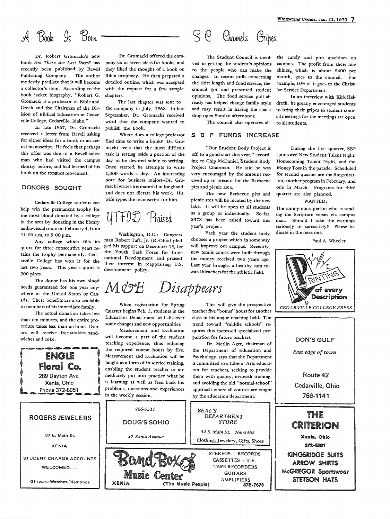#### Born  $Book 9s$

Dr. Robert Gromacki's new book *Are These the Last Days?* has recently been published by Revell Publishing Company. The author modestly predicts that it will become <sup>a</sup>collector's item. According to the book jacket biography, "Robert G. Gromacki is a professor of Bible and Greek and the Chairman of the Division of Biblical Education at Cedarville College, Cedarville, Idaho."

In late 1967, Dr. Gromacki received a letter from Revell asking for either ideas for a book or an actual manuscript. He feels that perhaps this offer was due to a Revell salesman who had visited the campus shortly before, and had learned of his book on the tongues movement.

#### DONORS SOUGHT

Cedarville College students can help win the permanent trophy for the most blood donated by a college in the area by donating in the library audio-visual room on February 4, from 11:00 a.m. to 5:00 p.m.

Any college which fills its quota for three consecutive years retains the trophy permanently. Cedarville College has won it for the last two years. This year's quota is 200 pints.

The donor has his own blood needs guaranteed for one year anywhere in the United States or Canada. These benefits are also available to members of his immediate family.

The actual donation takes less than ten minutes, and the entire procedure takes less than an hour. Donors will receive free cookies, sandwiches and coke.

**ENGLE** 

Dr. Gromacki offered the company six or seven ideas for books, and they liked the thought of a book on Bible prophecy. He then prepared <sup>a</sup> detailed outline, which was accepted with the request for a few sample chapters.

The last chapter was sent to the company in July, 1968. In late September, Dr. Gromacki received word that the company wanted to publish the book.

Where does a college professor find time to write a book? Dr. Gromacki feels that the most difficult task is setting aside a portion of the day to be devoted solely to writing. Once started, he attempts to write 1,000 words a day. An interesting note for business majors-Dr. Gromacki writes his material in longhand and does not dictate his work. His wife types the manuscript for him.

#### $f()$ Praised

Washington, D.C.: Congressman Robert Taft, Jr. (R.-Ohio) pledged his support on December 15, for the Youth Task Force for International Development and praised their interest in reappraising U.S. development policy.

## *M&E Disappears*

When registration for Spring Quarter begins Feb. 2, students in the Education Department will discover some changes and new opportunities.

Measurement and Evaluation will become a part of the student teaching experience, thus reducing the required course hours by five. Measurement and Evaluation will be taught as a form of in-service training, enabling the student teacher to immediately put into practice what he is learning as well as feed back his problems, questions and experiences

 $\mathcal{S}$  $\mathcal{C}$ Channels Gripes

The Student Council is involved in getting the student's opinions to the people who can make the changes. In recent polls concerning the skirt length and food service, the council got and presented student opinions. The food service poll already has helped change family style and may result in having the snack shop open Sunday afternoons.

The council also operates all

#### SB P FUNDS INCREASE

"Our Student Body Project is off to a good start this year," according to Chip McDaniel, 'student Body Project Chairman. He said he was very encouraged by the amount received up to present for the Barbecue pits and picnic area.

The new Barbecue pits and <sup>p</sup>icnic area will be located by the new lake. It will be open to all students as a group or individually. So far \$378 has been raised toward this year's project.

Each year the student body chooses a project which in some way will improve our campus. Recently, new tennis courts were built through the money received two years ago. Last year brought a healthy sum toward bleachers for the athletic field.

#### This will give the prospective teacher five "bonus" hours for another class in his major teaching field. The trend toward "middle schools" requires this increased specialized preparation for future teachers.

Dr. Merlin Ager, chairman of the Department of Education and Psychology, says that the Department is committed to a Liberal Arts education for teachers, seeking to provide them with quality, in-depth training, and avoiding the old "normal-school" approach where all courses are taught by the education department.

*DEPARTMENT STORE 34 S. Main St. 766-5362*  Clothing, Jewelery, Gifts, Shoes

> STEREOS - RECORDS CASSETTES - T.V. TAPE RECORDERS GUITARS AMPLIFIERS

**172-7679** 

*BEAL'S* 

(The Music People)

the candy and pop machines on campus. The profit from these machines. which is about \$400 per month, goes to the council. For example, 10% of it goes to the Christian Service Department.

In an interview with Kirk Heldreth, he greatly encouraged students to bring their gripes to student council meetings for the meetings are open to all students.

During the first quarter, SBP sponsored New Student Talent Night, Homecoming Talent Night, and the Money Toss in the parade. Scheduled for second quarter are the Singspiration, another program in February, and one in March. Programs for third quarter are also planned.

WANTED:

The anonymous person who is sendmg me Scripture verses via campus mail. Should I take the warnings seriously or sarcasticly? Please indicate in the next one.

Paul A. Wheeler



DON'S GULF *East edge of town*  Route 42 Cedarville, Ohio 766-1141 THIE CRITERION Xenia, Ohio 872-5331

KINGSRIOOE SUiTS **ARROW SHIRTS** McGREGOR Sportswear STETSON HATS



**XENIA** 

Giftware-Watches-Diamonds